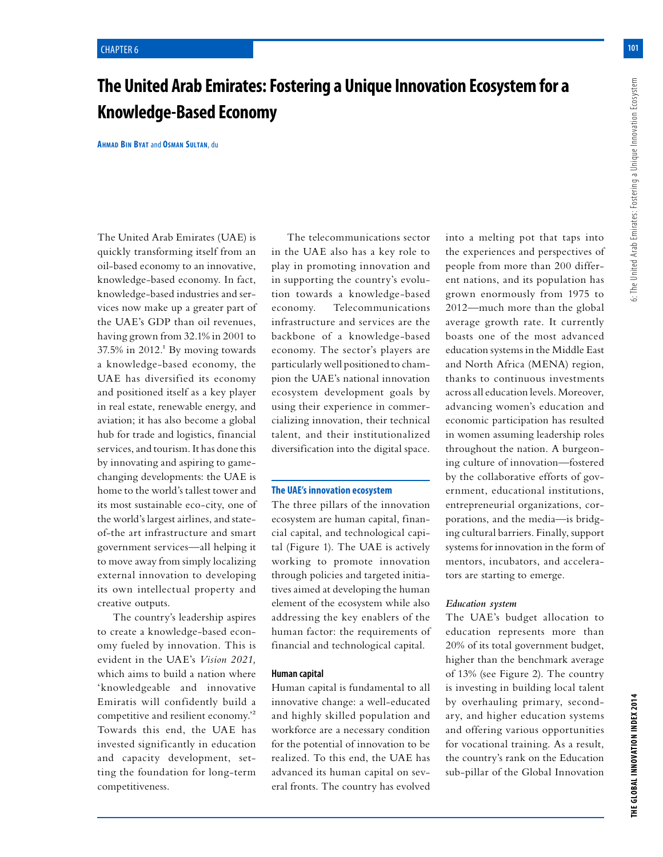# **The United Arab Emirates: Fostering a Unique Innovation Ecosystem for a Knowledge-Based Economy**

**Ahmad Bin Byat** and **Osman Sultan**, du

The United Arab Emirates (UAE) is quickly transforming itself from an oil-based economy to an innovative, knowledge-based economy. In fact, knowledge-based industries and services now make up a greater part of the UAE's GDP than oil revenues, having grown from 32.1% in 2001 to  $37.5\%$  in  $2012<sup>1</sup>$  By moving towards a knowledge-based economy, the UAE has diversified its economy and positioned itself as a key player in real estate, renewable energy, and aviation; it has also become a global hub for trade and logistics, financial services, and tourism. It has done this by innovating and aspiring to gamechanging developments: the UAE is home to the world's tallest tower and its most sustainable eco-city, one of the world's largest airlines, and stateof-the art infrastructure and smart government services—all helping it to move away from simply localizing external innovation to developing its own intellectual property and creative outputs.

The country's leadership aspires to create a knowledge-based economy fueled by innovation. This is evident in the UAE's *Vision 2021,* which aims to build a nation where 'knowledgeable and innovative Emiratis will confidently build a competitive and resilient economy.'2 Towards this end, the UAE has invested significantly in education and capacity development, setting the foundation for long-term competitiveness.

The telecommunications sector in the UAE also has a key role to play in promoting innovation and in supporting the country's evolution towards a knowledge-based economy. Telecommunications infrastructure and services are the backbone of a knowledge-based economy. The sector's players are particularly well positioned to champion the UAE's national innovation ecosystem development goals by using their experience in commercializing innovation, their technical talent, and their institutionalized diversification into the digital space.

## **The UAE's innovation ecosystem**

The three pillars of the innovation ecosystem are human capital, financial capital, and technological capital (Figure 1). The UAE is actively working to promote innovation through policies and targeted initiatives aimed at developing the human element of the ecosystem while also addressing the key enablers of the human factor: the requirements of financial and technological capital.

#### **Human capital**

Human capital is fundamental to all innovative change: a well-educated and highly skilled population and workforce are a necessary condition for the potential of innovation to be realized. To this end, the UAE has advanced its human capital on several fronts. The country has evolved into a melting pot that taps into the experiences and perspectives of people from more than 200 different nations, and its population has grown enormously from 1975 to 2012—much more than the global average growth rate. It currently boasts one of the most advanced education systems in the Middle East and North Africa (MENA) region, thanks to continuous investments across all education levels. Moreover, advancing women's education and economic participation has resulted in women assuming leadership roles throughout the nation. A burgeoning culture of innovation—fostered by the collaborative efforts of government, educational institutions, entrepreneurial organizations, corporations, and the media—is bridging cultural barriers. Finally, support systems for innovation in the form of mentors, incubators, and accelerators are starting to emerge.

#### *Education system*

The UAE's budget allocation to education represents more than 20% of its total government budget, higher than the benchmark average of 13% (see Figure 2). The country is investing in building local talent by overhauling primary, secondary, and higher education systems and offering various opportunities for vocational training. As a result, the country's rank on the Education sub-pillar of the Global Innovation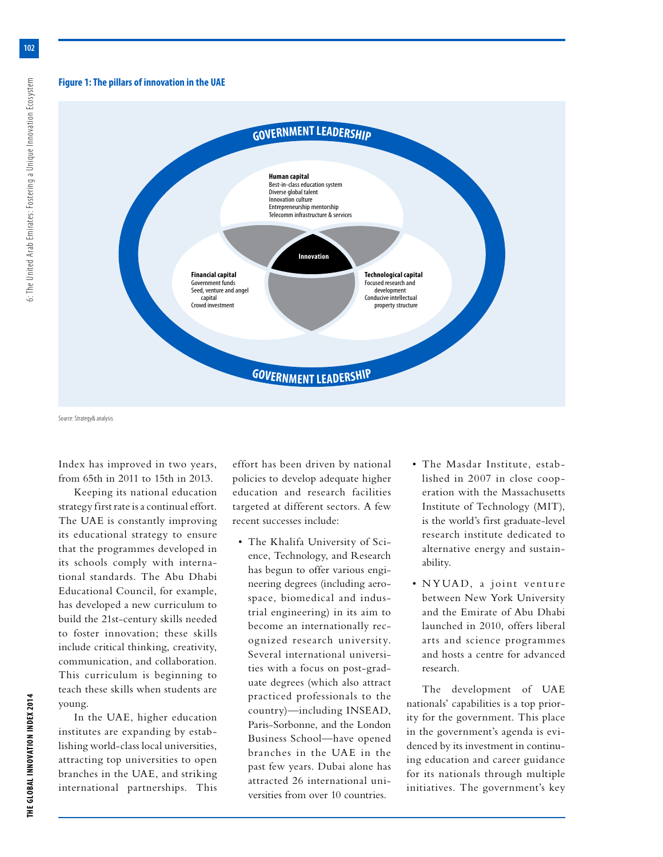## **Figure 1: The pillars of innovation in the UAE**



Source: Strategy& analysis.

Index has improved in two years, from 65th in 2011 to 15th in 2013.

Keeping its national education strategy first rate is a continual effort. The UAE is constantly improving its educational strategy to ensure that the programmes developed in its schools comply with international standards. The Abu Dhabi Educational Council, for example, has developed a new curriculum to build the 21st-century skills needed to foster innovation; these skills include critical thinking, creativity, communication, and collaboration. This curriculum is beginning to teach these skills when students are young.

In the UAE, higher education institutes are expanding by establishing world-class local universities, attracting top universities to open branches in the UAE, and striking international partnerships. This effort has been driven by national policies to develop adequate higher education and research facilities targeted at different sectors. A few recent successes include:

- The Khalifa University of Science, Technology, and Research has begun to offer various engineering degrees (including aerospace, biomedical and industrial engineering) in its aim to become an internationally recognized research university. Several international universities with a focus on post-graduate degrees (which also attract practiced professionals to the country)—including INSEAD, Paris-Sorbonne, and the London Business School—have opened branches in the UAE in the past few years. Dubai alone has attracted 26 international universities from over 10 countries.
- The Masdar Institute, established in 2007 in close cooperation with the Massachusetts Institute of Technology (MIT), is the world's first graduate-level research institute dedicated to alternative energy and sustainability.
- NYUAD, a joint venture between New York University and the Emirate of Abu Dhabi launched in 2010, offers liberal arts and science programmes and hosts a centre for advanced research.

The development of UAE nationals' capabilities is a top priority for the government. This place in the government's agenda is evidenced by its investment in continuing education and career guidance for its nationals through multiple initiatives. The government's key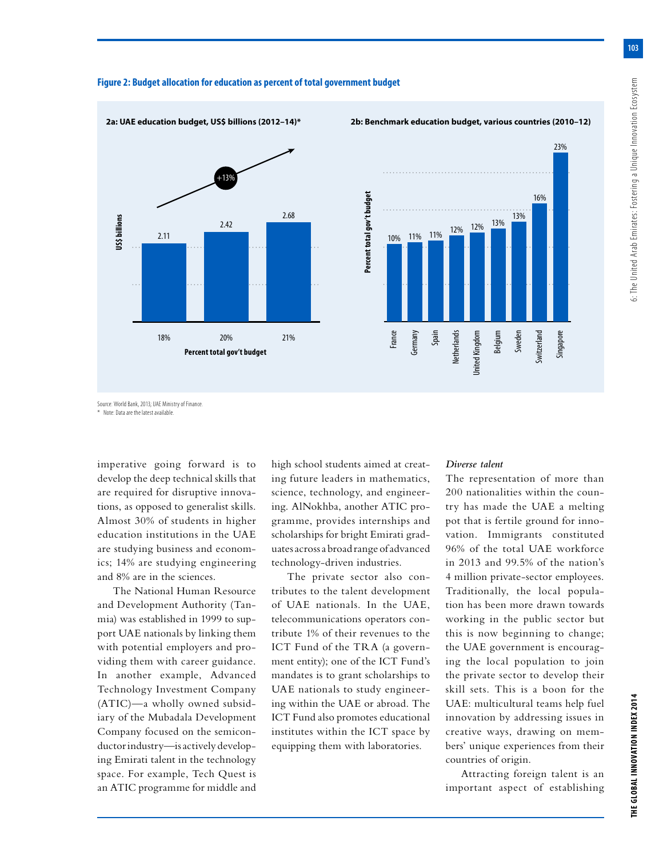### **Figure 2: Budget allocation for education as percent of total government budget**





Source: World Bank, 2013; UAE Ministry of Finance. \* Note: Data are the latest available.

imperative going forward is to develop the deep technical skills that are required for disruptive innovations, as opposed to generalist skills. Almost 30% of students in higher education institutions in the UAE are studying business and economics; 14% are studying engineering and 8% are in the sciences.

The National Human Resource and Development Authority (Tanmia) was established in 1999 to support UAE nationals by linking them with potential employers and providing them with career guidance. In another example, Advanced Technology Investment Company (ATIC)—a wholly owned subsidiary of the Mubadala Development Company focused on the semiconductor industry—is actively developing Emirati talent in the technology space. For example, Tech Quest is an ATIC programme for middle and high school students aimed at creating future leaders in mathematics, science, technology, and engineering. AlNokhba, another ATIC programme, provides internships and scholarships for bright Emirati graduates across a broad range of advanced technology-driven industries.

The private sector also contributes to the talent development of UAE nationals. In the UAE, telecommunications operators contribute 1% of their revenues to the ICT Fund of the TRA (a government entity); one of the ICT Fund's mandates is to grant scholarships to UAE nationals to study engineering within the UAE or abroad. The ICT Fund also promotes educational institutes within the ICT space by equipping them with laboratories.

# *Diverse talent*

The representation of more than 200 nationalities within the country has made the UAE a melting pot that is fertile ground for innovation. Immigrants constituted 96% of the total UAE workforce in 2013 and 99.5% of the nation's 4 million private-sector employees. Traditionally, the local population has been more drawn towards working in the public sector but this is now beginning to change; the UAE government is encouraging the local population to join the private sector to develop their skill sets. This is a boon for the UAE: multicultural teams help fuel innovation by addressing issues in creative ways, drawing on members' unique experiences from their countries of origin.

Attracting foreign talent is an important aspect of establishing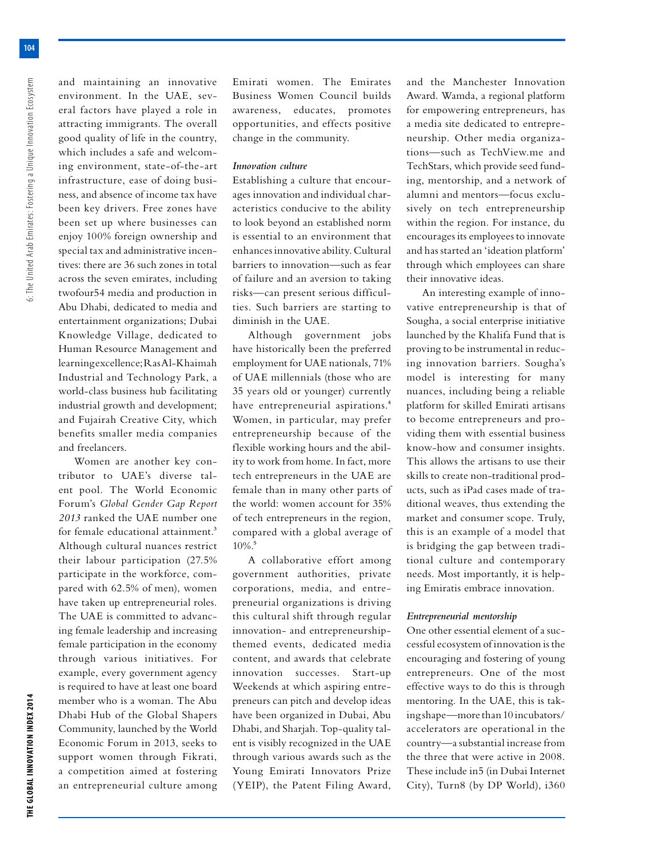and maintaining an innovative environment. In the UAE, several factors have played a role in attracting immigrants. The overall good quality of life in the country, which includes a safe and welcoming environment, state-of-the-art infrastructure, ease of doing business, and absence of income tax have been key drivers. Free zones have been set up where businesses can enjoy 100% foreign ownership and special tax and administrative incentives: there are 36 such zones in total across the seven emirates, including twofour54 media and production in Abu Dhabi, dedicated to media and entertainment organizations; Dubai Knowledge Village, dedicated to Human Resource Management and learning excellence; Ras Al-Khaimah Industrial and Technology Park, a world-class business hub facilitating industrial growth and development; and Fujairah Creative City, which benefits smaller media companies and freelancers.

Women are another key contributor to UAE's diverse talent pool. The World Economic Forum's *Global Gender Gap Report 2013* ranked the UAE number one for female educational attainment.<sup>3</sup> Although cultural nuances restrict their labour participation (27.5% participate in the workforce, compared with 62.5% of men), women have taken up entrepreneurial roles. The UAE is committed to advancing female leadership and increasing female participation in the economy through various initiatives. For example, every government agency is required to have at least one board member who is a woman. The Abu Dhabi Hub of the Global Shapers Community, launched by the World Economic Forum in 2013, seeks to support women through Fikrati, a competition aimed at fostering an entrepreneurial culture among

Emirati women. The Emirates Business Women Council builds awareness, educates, promotes opportunities, and effects positive change in the community.

## *Innovation culture*

Establishing a culture that encourages innovation and individual characteristics conducive to the ability to look beyond an established norm is essential to an environment that enhances innovative ability. Cultural barriers to innovation—such as fear of failure and an aversion to taking risks—can present serious difficulties. Such barriers are starting to diminish in the UAE.

Although government jobs have historically been the preferred employment for UAE nationals, 71% of UAE millennials (those who are 35 years old or younger) currently have entrepreneurial aspirations.<sup>4</sup> Women, in particular, may prefer entrepreneurship because of the flexible working hours and the ability to work from home. In fact, more tech entrepreneurs in the UAE are female than in many other parts of the world: women account for 35% of tech entrepreneurs in the region, compared with a global average of  $10\%$ <sup>5</sup>

A collaborative effort among government authorities, private corporations, media, and entrepreneurial organizations is driving this cultural shift through regular innovation- and entrepreneurshipthemed events, dedicated media content, and awards that celebrate innovation successes. Start-up Weekends at which aspiring entrepreneurs can pitch and develop ideas have been organized in Dubai, Abu Dhabi, and Sharjah. Top-quality talent is visibly recognized in the UAE through various awards such as the Young Emirati Innovators Prize (YEIP), the Patent Filing Award,

and the Manchester Innovation Award. Wamda, a regional platform for empowering entrepreneurs, has a media site dedicated to entrepreneurship. Other media organizations—such as TechView.me and TechStars, which provide seed funding, mentorship, and a network of alumni and mentors—focus exclusively on tech entrepreneurship within the region. For instance, du encourages its employees to innovate and has started an 'ideation platform' through which employees can share their innovative ideas.

An interesting example of innovative entrepreneurship is that of Sougha, a social enterprise initiative launched by the Khalifa Fund that is proving to be instrumental in reducing innovation barriers. Sougha's model is interesting for many nuances, including being a reliable platform for skilled Emirati artisans to become entrepreneurs and providing them with essential business know-how and consumer insights. This allows the artisans to use their skills to create non-traditional products, such as iPad cases made of traditional weaves, thus extending the market and consumer scope. Truly, this is an example of a model that is bridging the gap between traditional culture and contemporary needs. Most importantly, it is helping Emiratis embrace innovation.

#### *Entrepreneurial mentorship*

One other essential element of a successful ecosystem of innovation is the encouraging and fostering of young entrepreneurs. One of the most effective ways to do this is through mentoring. In the UAE, this is taking shape—more than 10 incubators/ accelerators are operational in the country—a substantial increase from the three that were active in 2008. These include in5 (in Dubai Internet City), Turn8 (by DP World), i360

5: The United Arab Emirates: Fostering a Unique Innovation Ecosystem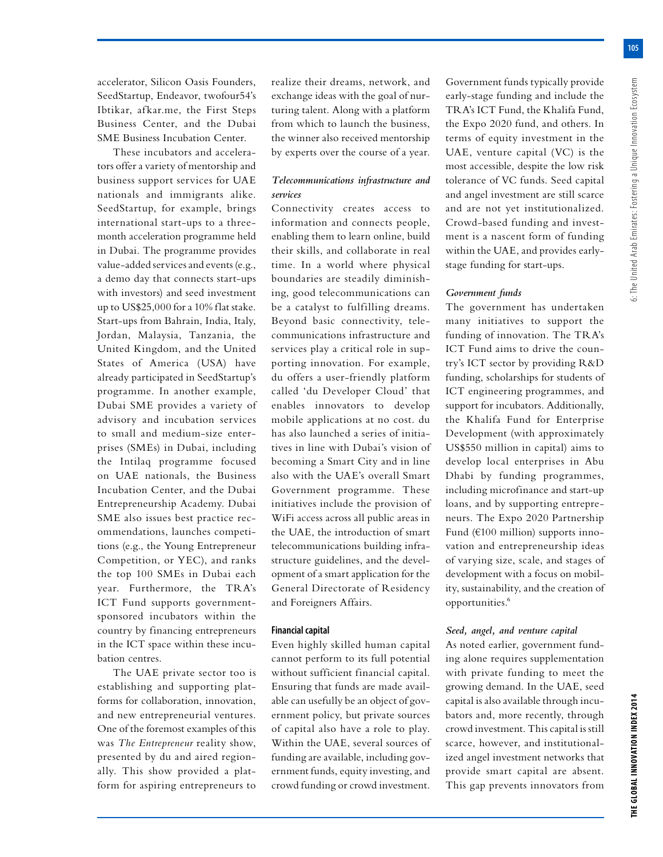**105**

accelerator, Silicon Oasis Founders, SeedStartup, Endeavor, twofour54's Ibtikar, afkar.me, the First Steps Business Center, and the Dubai SME Business Incubation Center.

These incubators and accelerators offer a variety of mentorship and business support services for UAE nationals and immigrants alike. SeedStartup, for example, brings international start-ups to a threemonth acceleration programme held in Dubai. The programme provides value-added services and events (e.g., a demo day that connects start-ups with investors) and seed investment up to US\$25,000 for a 10% flat stake. Start-ups from Bahrain, India, Italy, Jordan, Malaysia, Tanzania, the United Kingdom, and the United States of America (USA) have already participated in SeedStartup's programme. In another example, Dubai SME provides a variety of advisory and incubation services to small and medium-size enterprises (SMEs) in Dubai, including the Intilaq programme focused on UAE nationals, the Business Incubation Center, and the Dubai Entrepreneurship Academy. Dubai SME also issues best practice recommendations, launches competitions (e.g., the Young Entrepreneur Competition, or YEC), and ranks the top 100 SMEs in Dubai each year. Furthermore, the TRA's ICT Fund supports governmentsponsored incubators within the country by financing entrepreneurs in the ICT space within these incubation centres.

The UAE private sector too is establishing and supporting platforms for collaboration, innovation, and new entrepreneurial ventures. One of the foremost examples of this was *The Entrepreneur* reality show, presented by du and aired regionally. This show provided a platform for aspiring entrepreneurs to realize their dreams, network, and exchange ideas with the goal of nurturing talent. Along with a platform from which to launch the business, the winner also received mentorship by experts over the course of a year.

# *Telecommunications infrastructure and services*

Connectivity creates access to information and connects people, enabling them to learn online, build their skills, and collaborate in real time. In a world where physical boundaries are steadily diminishing, good telecommunications can be a catalyst to fulfilling dreams. Beyond basic connectivity, telecommunications infrastructure and services play a critical role in supporting innovation. For example, du offers a user-friendly platform called 'du Developer Cloud' that enables innovators to develop mobile applications at no cost. du has also launched a series of initiatives in line with Dubai's vision of becoming a Smart City and in line also with the UAE's overall Smart Government programme. These initiatives include the provision of WiFi access across all public areas in the UAE, the introduction of smart telecommunications building infrastructure guidelines, and the development of a smart application for the General Directorate of Residency and Foreigners Affairs.

## **Financial capital**

Even highly skilled human capital cannot perform to its full potential without sufficient financial capital. Ensuring that funds are made available can usefully be an object of government policy, but private sources of capital also have a role to play. Within the UAE, several sources of funding are available, including government funds, equity investing, and crowd funding or crowd investment.

Government funds typically provide early-stage funding and include the TRA's ICT Fund, the Khalifa Fund, the Expo 2020 fund, and others. In terms of equity investment in the UAE, venture capital (VC) is the most accessible, despite the low risk tolerance of VC funds. Seed capital and angel investment are still scarce and are not yet institutionalized. Crowd-based funding and investment is a nascent form of funding within the UAE, and provides earlystage funding for start-ups.

### *Government funds*

The government has undertaken many initiatives to support the funding of innovation. The TRA's ICT Fund aims to drive the country's ICT sector by providing R&D funding, scholarships for students of ICT engineering programmes, and support for incubators. Additionally, the Khalifa Fund for Enterprise Development (with approximately US\$550 million in capital) aims to develop local enterprises in Abu Dhabi by funding programmes, including microfinance and start-up loans, and by supporting entrepreneurs. The Expo 2020 Partnership Fund ( $€100$  million) supports innovation and entrepreneurship ideas of varying size, scale, and stages of development with a focus on mobility, sustainability, and the creation of opportunities.6

### *Seed, angel, and venture capital*

As noted earlier, government funding alone requires supplementation with private funding to meet the growing demand. In the UAE, seed capital is also available through incubators and, more recently, through crowd investment. This capital is still scarce, however, and institutionalized angel investment networks that provide smart capital are absent. This gap prevents innovators from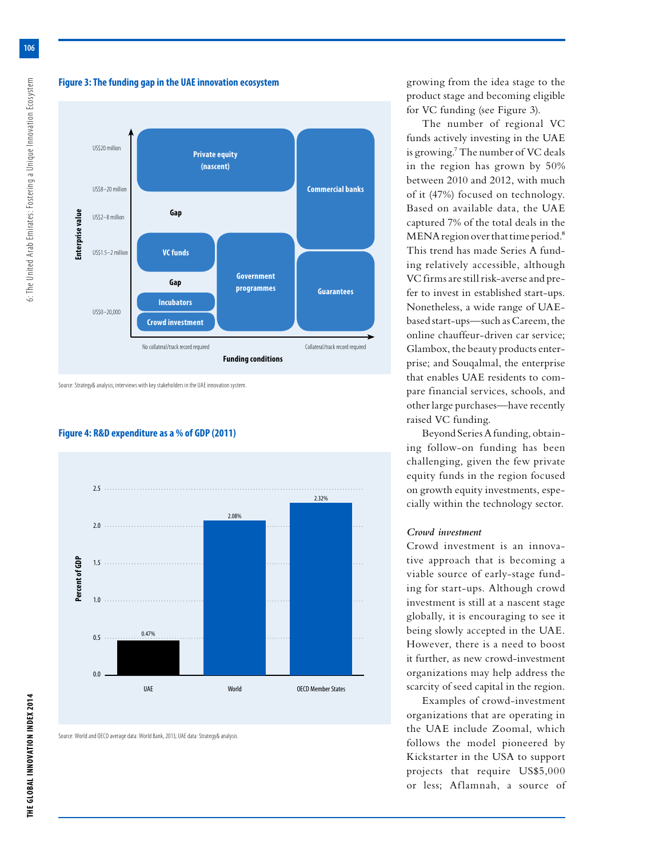

#### **Figure 3: The funding gap in the UAE innovation ecosystem**

Source: Strategy& analysis; interviews with key stakeholders in the UAE innovation system.

## **Figure 4: R&D expenditure as a % of GDP (2011)**



Source: World and OECD average data: World Bank, 2013; UAE data: Strategy& analysis.

growing from the idea stage to the product stage and becoming eligible for VC funding (see Figure 3).

The number of regional VC funds actively investing in the UAE is growing.<sup>7</sup> The number of VC deals in the region has grown by 50% between 2010 and 2012, with much of it (47%) focused on technology. Based on available data, the UAE captured 7% of the total deals in the MENA region over that time period.<sup>8</sup> This trend has made Series A funding relatively accessible, although VC firms are still risk-averse and prefer to invest in established start-ups. Nonetheless, a wide range of UAEbased start-ups—such as Careem, the online chauffeur-driven car service; Glambox, the beauty products enterprise; and Souqalmal, the enterprise that enables UAE residents to compare financial services, schools, and other large purchases—have recently raised VC funding.

Beyond Series A funding, obtaining follow-on funding has been challenging, given the few private equity funds in the region focused on growth equity investments, especially within the technology sector.

## *Crowd investment*

Crowd investment is an innovative approach that is becoming a viable source of early-stage funding for start-ups. Although crowd investment is still at a nascent stage globally, it is encouraging to see it being slowly accepted in the UAE. However, there is a need to boost it further, as new crowd-investment organizations may help address the scarcity of seed capital in the region.

Examples of crowd-investment organizations that are operating in the UAE include Zoomal, which follows the model pioneered by Kickstarter in the USA to support projects that require US\$5,000 or less; Aflamnah, a source of

**106**

The United Arab Emirates: Fostering a Unique Innovation Ecosystem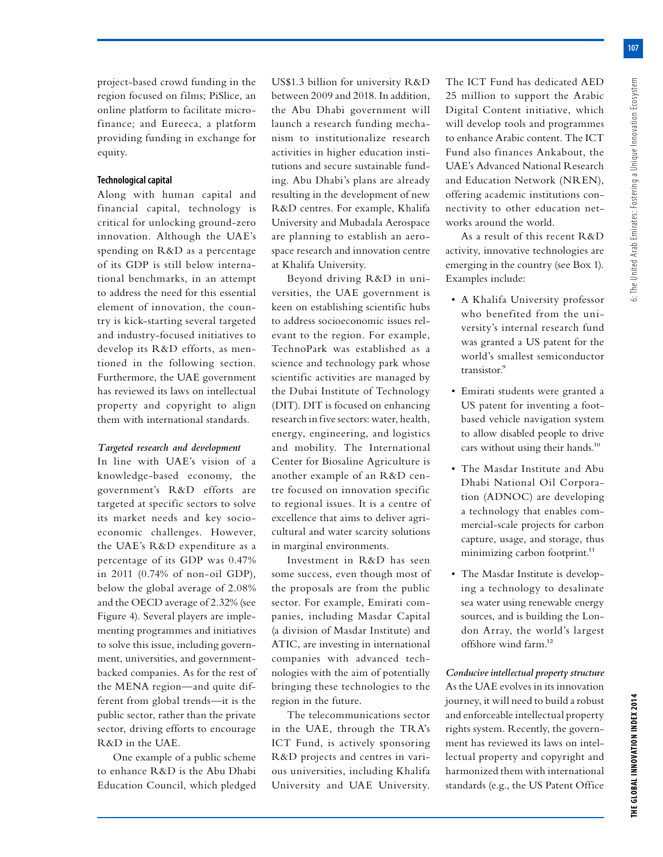project-based crowd funding in the region focused on films; PiSlice, an online platform to facilitate microfinance; and Eureeca, a platform providing funding in exchange for equity.

## **Technological capital**

Along with human capital and financial capital, technology is critical for unlocking ground-zero innovation. Although the UAE's spending on R&D as a percentage of its GDP is still below international benchmarks, in an attempt to address the need for this essential element of innovation, the country is kick-starting several targeted and industry-focused initiatives to develop its R&D efforts, as mentioned in the following section. Furthermore, the UAE government has reviewed its laws on intellectual property and copyright to align them with international standards.

### *Targeted research and development*

In line with UAE's vision of a knowledge-based economy, the government's R&D efforts are targeted at specific sectors to solve its market needs and key socioeconomic challenges. However, the UAE's R&D expenditure as a percentage of its GDP was 0.47% in 2011 (0.74% of non-oil GDP), below the global average of 2.08% and the OECD average of 2.32% (see Figure 4). Several players are implementing programmes and initiatives to solve this issue, including government, universities, and governmentbacked companies. As for the rest of the MENA region—and quite different from global trends—it is the public sector, rather than the private sector, driving efforts to encourage R&D in the UAE.

One example of a public scheme to enhance R&D is the Abu Dhabi Education Council, which pledged US\$1.3 billion for university R&D between 2009 and 2018. In addition, the Abu Dhabi government will launch a research funding mechanism to institutionalize research activities in higher education institutions and secure sustainable funding. Abu Dhabi's plans are already resulting in the development of new R&D centres. For example, Khalifa University and Mubadala Aerospace are planning to establish an aerospace research and innovation centre at Khalifa University.

Beyond driving R&D in universities, the UAE government is keen on establishing scientific hubs to address socioeconomic issues relevant to the region. For example, TechnoPark was established as a science and technology park whose scientific activities are managed by the Dubai Institute of Technology (DIT). DIT is focused on enhancing research in five sectors: water, health, energy, engineering, and logistics and mobility. The International Center for Biosaline Agriculture is another example of an R&D centre focused on innovation specific to regional issues. It is a centre of excellence that aims to deliver agricultural and water scarcity solutions in marginal environments.

Investment in R&D has seen some success, even though most of the proposals are from the public sector. For example, Emirati companies, including Masdar Capital (a division of Masdar Institute) and ATIC, are investing in international companies with advanced technologies with the aim of potentially bringing these technologies to the region in the future.

The telecommunications sector in the UAE, through the TRA's ICT Fund, is actively sponsoring R&D projects and centres in various universities, including Khalifa University and UAE University.

The ICT Fund has dedicated AED 25 million to support the Arabic Digital Content initiative, which will develop tools and programmes to enhance Arabic content. The ICT Fund also finances Ankabout, the UAE's Advanced National Research and Education Network (NREN), offering academic institutions connectivity to other education networks around the world.

As a result of this recent R&D activity, innovative technologies are emerging in the country (see Box 1). Examples include:

- A Khalifa University professor who benefited from the university's internal research fund was granted a US patent for the world's smallest semiconductor transistor.9
- Emirati students were granted a US patent for inventing a footbased vehicle navigation system to allow disabled people to drive cars without using their hands.<sup>10</sup>
- The Masdar Institute and Abu Dhabi National Oil Corporation (ADNOC) are developing a technology that enables commercial-scale projects for carbon capture, usage, and storage, thus minimizing carbon footprint.<sup>11</sup>
- The Masdar Institute is developing a technology to desalinate sea water using renewable energy sources, and is building the London Array, the world's largest offshore wind farm.12

*Conducive intellectual property structure* As the UAE evolves in its innovation journey, it will need to build a robust and enforceable intellectual property rights system. Recently, the government has reviewed its laws on intellectual property and copyright and harmonized them with international standards (e.g., the US Patent Office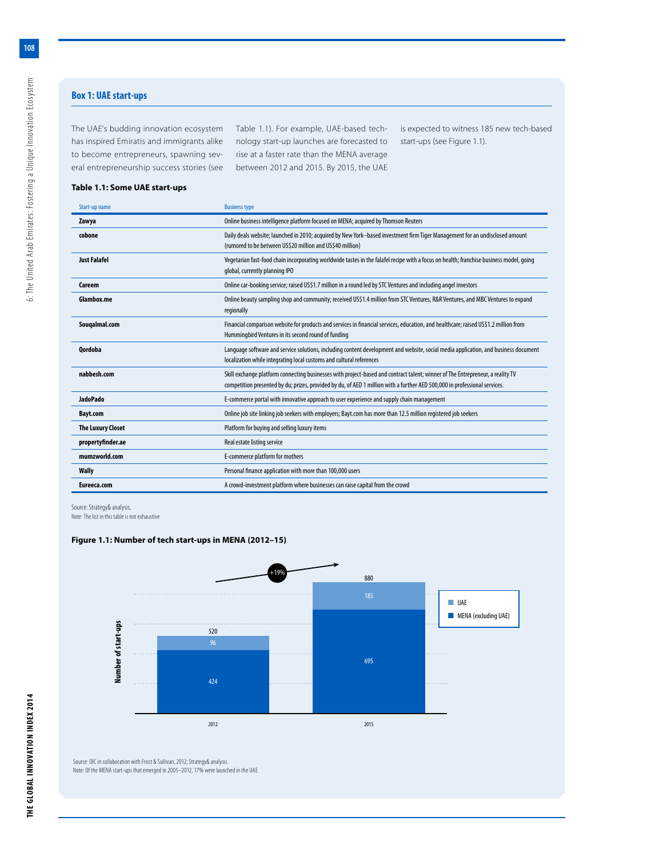# **Box 1: UAE start-ups**

The UAE's budding innovation ecosystem has inspired Emiratis and immigrants alike to become entrepreneurs, spawning several entrepreneurship success stories (see

Table 1.1). For example, UAE-based technology start-up launches are forecasted to rise at a faster rate than the MENA average between 2012 and 2015. By 2015, the UAE

is expected to witness 185 new tech-based start-ups (see Figure 1.1).

#### **Table 1.1: Some UAE start-ups**

| Start-up name            | <b>Business type</b>                                                                                                                                                                                                                                         |
|--------------------------|--------------------------------------------------------------------------------------------------------------------------------------------------------------------------------------------------------------------------------------------------------------|
| Zawya                    | Online business intelligence platform focused on MENA; acquired by Thomson Reuters                                                                                                                                                                           |
| cobone                   | Daily deals website; launched in 2010; acquired by New York-based investment firm Tiger Management for an undisclosed amount<br>(rumored to be between US\$20 million and US\$40 million)                                                                    |
| <b>Just Falafel</b>      | Vegetarian fast-food chain incorporating worldwide tastes in the falafel recipe with a focus on health; franchise business model, going<br>global, currently planning IPO                                                                                    |
| Careem                   | Online car-booking service; raised US\$1.7 million in a round led by STC Ventures and including angel investors                                                                                                                                              |
| Glambox.me               | Online beauty sampling shop and community; received US\$1.4 million from STC Ventures, R&R Ventures, and MBC Ventures to expand<br>regionally                                                                                                                |
| Sougalmal.com            | Financial comparison website for products and services in financial services, education, and healthcare; raised US\$1.2 million from<br>Hummingbird Ventures in its second round of funding                                                                  |
| <b>Oordoba</b>           | Language software and service solutions, including content development and website, social media application, and business document<br>localization while integrating local customs and cultural references                                                  |
| nabbesh.com              | Skill exchange platform connecting businesses with project-based and contract talent; winner of The Entrepreneur, a reality TV<br>competition presented by du; prizes, provided by du, of AED 1 million with a further AED 500,000 in professional services. |
| <b>JadoPado</b>          | E-commerce portal with innovative approach to user experience and supply chain management                                                                                                                                                                    |
| Bayt.com                 | Online job site linking job seekers with employers; Bayt.com has more than 12.5 million registered job seekers                                                                                                                                               |
| <b>The Luxury Closet</b> | Platform for buying and selling luxury items                                                                                                                                                                                                                 |
| propertyfinder.ae        | Real estate listing service                                                                                                                                                                                                                                  |
| mumzworld.com            | E-commerce platform for mothers                                                                                                                                                                                                                              |
| <b>Wally</b>             | Personal finance application with more than 100,000 users                                                                                                                                                                                                    |
| Eureeca.com              | A crowd-investment platform where businesses can raise capital from the crowd                                                                                                                                                                                |

Source: Strategy& analysis.

i.

Note: The list in this table is not exhaustive

## **Figure 1.1: Number of tech start-ups in MENA (2012–15)**



Source: DIC in collaboration with Frost & Sullivan, 2012; Strategy& analysis. Note: Of the MENA start-ups that emerged in 2005–2012, 17% were launched in the UAE.

L,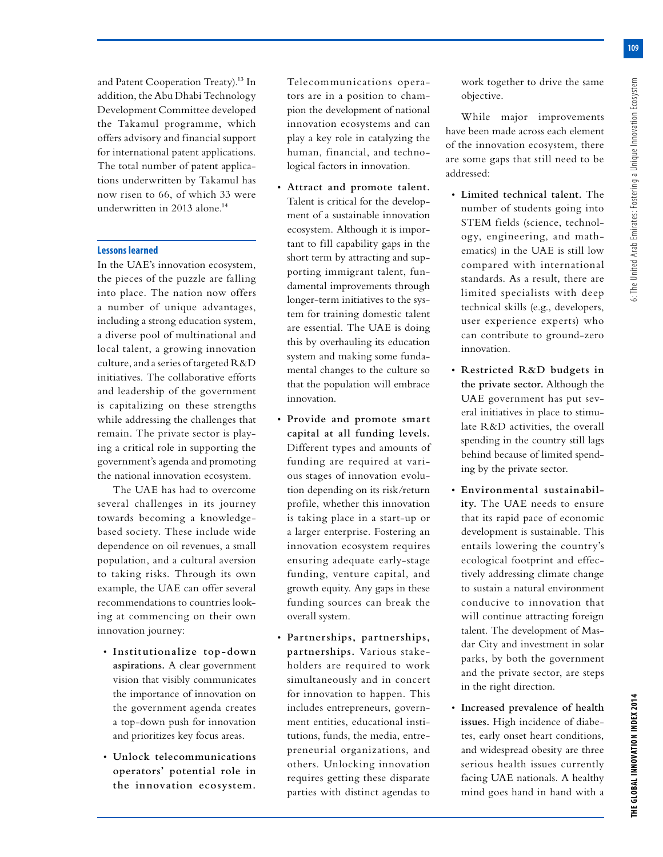**109**

and Patent Cooperation Treaty).<sup>13</sup> In addition, the Abu Dhabi Technology Development Committee developed the Takamul programme, which offers advisory and financial support for international patent applications. The total number of patent applications underwritten by Takamul has now risen to 66, of which 33 were underwritten in 2013 alone.<sup>14</sup>

## **Lessons learned**

In the UAE's innovation ecosystem, the pieces of the puzzle are falling into place. The nation now offers a number of unique advantages, including a strong education system, a diverse pool of multinational and local talent, a growing innovation culture, and a series of targeted R&D initiatives. The collaborative efforts and leadership of the government is capitalizing on these strengths while addressing the challenges that remain. The private sector is playing a critical role in supporting the government's agenda and promoting the national innovation ecosystem.

The UAE has had to overcome several challenges in its journey towards becoming a knowledgebased society. These include wide dependence on oil revenues, a small population, and a cultural aversion to taking risks. Through its own example, the UAE can offer several recommendations to countries looking at commencing on their own innovation journey:

- **• Institutionalize top-down aspirations.** A clear government vision that visibly communicates the importance of innovation on the government agenda creates a top-down push for innovation and prioritizes key focus areas.
- **• Unlock telecommunications operators' potential role in the innovation ecosystem.**

Telecommunications operators are in a position to champion the development of national innovation ecosystems and can play a key role in catalyzing the human, financial, and technological factors in innovation.

- **• Attract and promote talent.** Talent is critical for the development of a sustainable innovation ecosystem. Although it is important to fill capability gaps in the short term by attracting and supporting immigrant talent, fundamental improvements through longer-term initiatives to the system for training domestic talent are essential. The UAE is doing this by overhauling its education system and making some fundamental changes to the culture so that the population will embrace innovation.
- **• Provide and promote smart capital at all funding levels.** Different types and amounts of funding are required at various stages of innovation evolution depending on its risk/return profile, whether this innovation is taking place in a start-up or a larger enterprise. Fostering an innovation ecosystem requires ensuring adequate early-stage funding, venture capital, and growth equity. Any gaps in these funding sources can break the overall system.
- **• Partnerships, partnerships, partnerships.** Various stakeholders are required to work simultaneously and in concert for innovation to happen. This includes entrepreneurs, government entities, educational institutions, funds, the media, entrepreneurial organizations, and others. Unlocking innovation requires getting these disparate parties with distinct agendas to

work together to drive the same objective.

While major improvements have been made across each element of the innovation ecosystem, there are some gaps that still need to be addressed:

- **• Limited technical talent.** The number of students going into STEM fields (science, technology, engineering, and mathematics) in the UAE is still low compared with international standards. As a result, there are limited specialists with deep technical skills (e.g., developers, user experience experts) who can contribute to ground-zero innovation.
- **• Restricted R&D budgets in the private sector.** Although the UAE government has put several initiatives in place to stimulate R&D activities, the overall spending in the country still lags behind because of limited spending by the private sector.
- **• Environmental sustainability.** The UAE needs to ensure that its rapid pace of economic development is sustainable. This entails lowering the country's ecological footprint and effectively addressing climate change to sustain a natural environment conducive to innovation that will continue attracting foreign talent. The development of Masdar City and investment in solar parks, by both the government and the private sector, are steps in the right direction.
- **• Increased prevalence of health issues.** High incidence of diabetes, early onset heart conditions, and widespread obesity are three serious health issues currently facing UAE nationals. A healthy mind goes hand in hand with a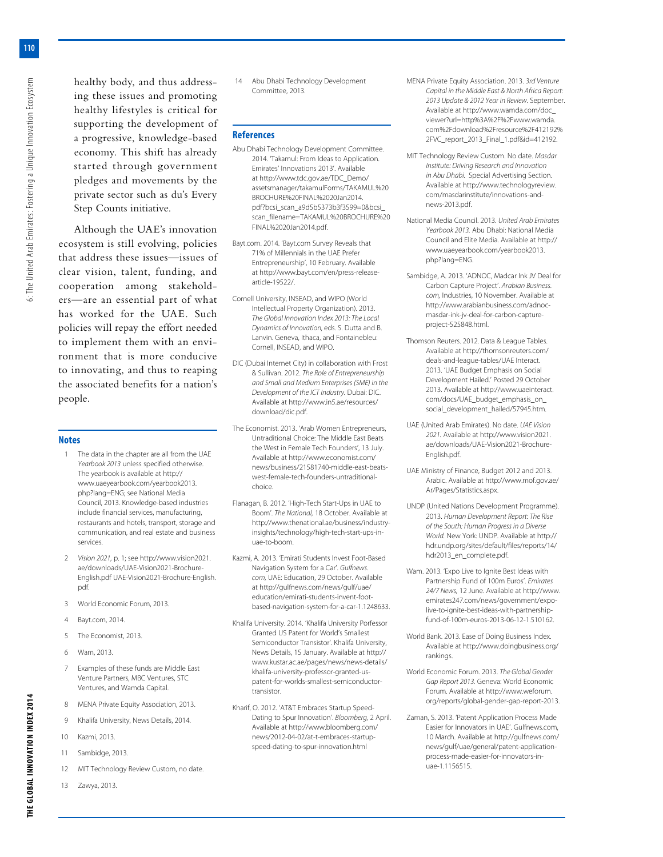**110**

healthy body, and thus addressing these issues and promoting healthy lifestyles is critical for supporting the development of a progressive, knowledge-based economy. This shift has already started through government pledges and movements by the private sector such as du's Every Step Counts initiative.

Although the UAE's innovation ecosystem is still evolving, policies that address these issues—issues of clear vision, talent, funding, and cooperation among stakeholders—are an essential part of what has worked for the UAE. Such policies will repay the effort needed to implement them with an environment that is more conducive to innovating, and thus to reaping the associated benefits for a nation's people.

#### **Notes**

- The data in the chapter are all from the UAE *Yearbook 2013* unless specified otherwise. The yearbook is available at http:// www.uaeyearbook.com/yearbook2013. php?lang=ENG; see National Media Council, 2013. Knowledge-based industries include financial services, manufacturing, restaurants and hotels, transport, storage and communication, and real estate and business services.
- 2 *Vision 2021,* p. 1; see http://www.vision2021. ae/downloads/UAE-Vision2021-Brochure-English.pdf UAE-Vision2021-Brochure-English. pdf.
- 3 World Economic Forum, 2013.
- 4 Bayt.com, 2014.
- 5 The Economist, 2013.
- 6 Wam, 2013.
- Examples of these funds are Middle East Venture Partners, MBC Ventures, STC Ventures, and Wamda Capital.
- 8 MENA Private Equity Association, 2013.
- 9 Khalifa University, News Details, 2014.
- 10 Kazmi, 2013.
- 11 Sambidge, 2013.
- 12 MIT Technology Review Custom, no date.
- 13 Zawya, 2013.

14 Abu Dhabi Technology Development Committee, 2013.

#### **References**

- Abu Dhabi Technology Development Committee. 2014. Takamul: From Ideas to Application. Emirates' Innovations 2013'. Available at http://www.tdc.gov.ae/TDC\_Demo/ assetsmanager/takamulForms/TAKAMUL%20 BROCHURE%20FINAL%2020Jan2014. pdf?bcsi\_scan\_a9d5b5373b3f3599=0&bcsi\_ scan\_filename=TAKAMUL%20BROCHURE%20 FINAL%2020Jan2014.pdf.
- Bayt.com. 2014. 'Bayt.com Survey Reveals that 71% of Millennials in the UAE Prefer Entrepreneurship', 10 February. Available at http://www.bayt.com/en/press-releasearticle-19522/.
- Cornell University, INSEAD, and WIPO (World Intellectual Property Organization). 2013. *The Global Innovation Index 2013: The Local Dynamics of Innovation,* eds. S. Dutta and B. Lanvin. Geneva, Ithaca, and Fontainebleu: Cornell, INSEAD, and WIPO.
- DIC (Dubai Internet City) in collaboration with Frost & Sullivan. 2012. *The Role of Entrepreneurship and Small and Medium Enterprises (SME) in the Development of the ICT Industry.* Dubai: DIC. Available at http://www.in5.ae/resources/ download/dic.pdf.
- The Economist. 2013. 'Arab Women Entrepreneurs, Untraditional Choice: The Middle East Beats the West in Female Tech Founders', 13 July. Available at http://www.economist.com/ news/business/21581740-middle-east-beatswest-female-tech-founders-untraditionalchoice.
- Flanagan, B. 2012. 'High-Tech Start-Ups in UAE to Boom'. *The National,* 18 October. Available at http://www.thenational.ae/business/industryinsights/technology/high-tech-start-ups-inuae-to-boom.
- Kazmi, A. 2013. 'Emirati Students Invest Foot-Based Navigation System for a Car'. *Gulfnews. com,* UAE: Education, 29 October. Available at http://gulfnews.com/news/gulf/uae/ education/emirati-students-invent-footbased-navigation-system-for-a-car-1.1248633.
- Khalifa University. 2014. 'Khalifa University Porfessor Granted US Patent for World's Smallest Semiconductor Transistor'. Khalifa University, News Details, 15 January. Available at http:// www.kustar.ac.ae/pages/news/news-details/ khalifa-university-professor-granted-uspatent-for-worlds-smallest-semiconductortransistor.
- Kharif, O. 2012. 'AT&T Embraces Startup Speed-Dating to Spur Innovation'. *Bloomberg,* 2 April. Available at http://www.bloomberg.com/ news/2012-04-02/at-t-embraces-startupspeed-dating-to-spur-innovation.html
- MENA Private Equity Association. 2013. *3rd Venture Capital in the Middle East & North Africa Report: 2013 Update & 2012 Year in Review.* September. Available at http://www.wamda.com/doc\_ viewer?url=http%3A%2F%2Fwww.wamda. com%2Fdownload%2Fresource%2F412192% 2FVC\_report\_2013\_Final\_1.pdf&id=412192.
- MIT Technology Review Custom. No date. *Masdar Institute: Driving Research and Innovation in Abu Dhabi.* Special Advertising Section. Available at http://www.technologyreview. com/masdarinstitute/innovations-andnews-2013.pdf.
- National Media Council. 2013. *United Arab Emirates Yearbook 2013.* Abu Dhabi: National Media Council and Elite Media. Available at http:// www.uaeyearbook.com/yearbook2013. php?lang=ENG.
- Sambidge, A. 2013. 'ADNOC, Madcar Ink JV Deal for Carbon Capture Project'. *Arabian Business. com,* Industries, 10 November. Available at http://www.arabianbusiness.com/adnocmasdar-ink-jv-deal-for-carbon-captureproject-525848.html.
- Thomson Reuters. 2012. Data & League Tables. Available at http://thomsonreuters.com/ deals-and-league-tables/UAE Interact. 2013. 'UAE Budget Emphasis on Social Development Hailed.' Posted 29 October 2013. Available at http://www.uaeinteract. com/docs/UAE\_budget\_emphasis\_on\_ social\_development\_hailed/57945.htm.
- UAE (United Arab Emirates). No date. *UAE Vision 2021.* Available at http://www.vision2021. ae/downloads/UAE-Vision2021-Brochure-English.pdf.
- UAE Ministry of Finance, Budget 2012 and 2013. Arabic. Available at http://www.mof.gov.ae/ Ar/Pages/Statistics.aspx.
- UNDP (United Nations Development Programme). 2013. *Human Development Report: The Rise of the South: Human Progress in a Diverse World.* New York: UNDP. Available at http:// hdr.undp.org/sites/default/files/reports/14/ hdr2013\_en\_complete.pdf.
- Wam. 2013. 'Expo Live to Ignite Best Ideas with Partnership Fund of 100m Euros'. *Emirates 24/7 News,* 12 June. Available at http://www. emirates247.com/news/government/expolive-to-ignite-best-ideas-with-partnershipfund-of-100m-euros-2013-06-12-1.510162.
- World Bank. 2013. Ease of Doing Business Index. Available at http://www.doingbusiness.org/ rankings.
- World Economic Forum. 2013. *The Global Gender Gap Report 2013.* Geneva: World Economic Forum. Available at http://www.weforum. org/reports/global-gender-gap-report-2013.
- Zaman, S. 2013. 'Patent Application Process Made Easier for Innovators in UAE'. Gulfnews.com, 10 March. Available at http://gulfnews.com/ news/gulf/uae/general/patent-applicationprocess-made-easier-for-innovators-in-.<br>uae-1.1156515.

**THE GLOBAL INNOVATION INDEX 2014**